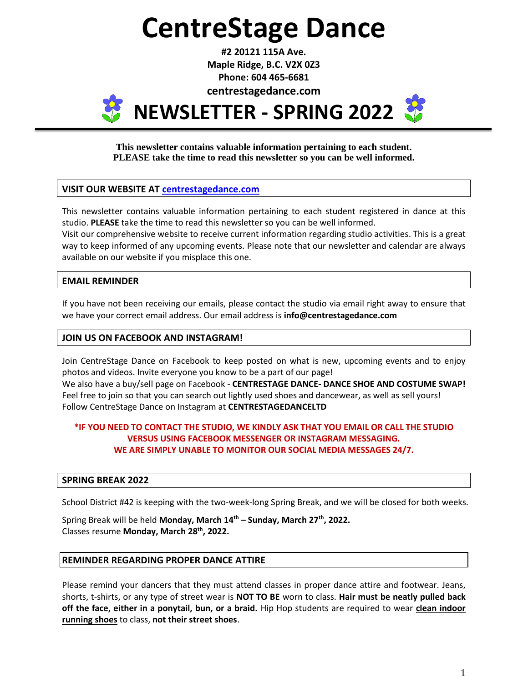# **CentreStage Dance**

**#2 20121 115A Ave. Maple Ridge, B.C. V2X 0Z3 Phone: 604 465-6681**

**centrestagedance.com**



**This newsletter contains valuable information pertaining to each student. PLEASE take the time to read this newsletter so you can be well informed.**

# **VISIT OUR WEBSITE AT [centrestagedance.com](http://www.centrestagedance.com/)**

This newsletter contains valuable information pertaining to each student registered in dance at this studio. **PLEASE** take the time to read this newsletter so you can be well informed.

Visit our comprehensive website to receive current information regarding studio activities. This is a great way to keep informed of any upcoming events. Please note that our newsletter and calendar are always available on our website if you misplace this one.

# **EMAIL REMINDER**

If you have not been receiving our emails, please contact the studio via email right away to ensure that we have your correct email address. Our email address is **info@centrestagedance.com**

# **JOIN US ON FACEBOOK AND INSTAGRAM!**

Join CentreStage Dance on Facebook to keep posted on what is new, upcoming events and to enjoy photos and videos. Invite everyone you know to be a part of our page! We also have a buy/sell page on Facebook - **CENTRESTAGE DANCE- DANCE SHOE AND COSTUME SWAP!** Feel free to join so that you can search out lightly used shoes and dancewear, as well as sell yours! Follow CentreStage Dance on Instagram at **CENTRESTAGEDANCELTD**

# **\*IF YOU NEED TO CONTACT THE STUDIO, WE KINDLY ASK THAT YOU EMAIL OR CALL THE STUDIO VERSUS USING FACEBOOK MESSENGER OR INSTAGRAM MESSAGING. WE ARE SIMPLY UNABLE TO MONITOR OUR SOCIAL MEDIA MESSAGES 24/7.**

# **SPRING BREAK 2022**

School District #42 is keeping with the two-week-long Spring Break, and we will be closed for both weeks.

Spring Break will be held **Monday, March 14th – Sunday, March 27 th , 2022.** Classes resume **Monday, March 28th , 2022.**

#### **REMINDER REGARDING PROPER DANCE ATTIRE**

Please remind your dancers that they must attend classes in proper dance attire and footwear. Jeans, shorts, t-shirts, or any type of street wear is **NOT TO BE** worn to class. **Hair must be neatly pulled back off the face, either in a ponytail, bun, or a braid.** Hip Hop students are required to wear **clean indoor running shoes** to class, **not their street shoes**.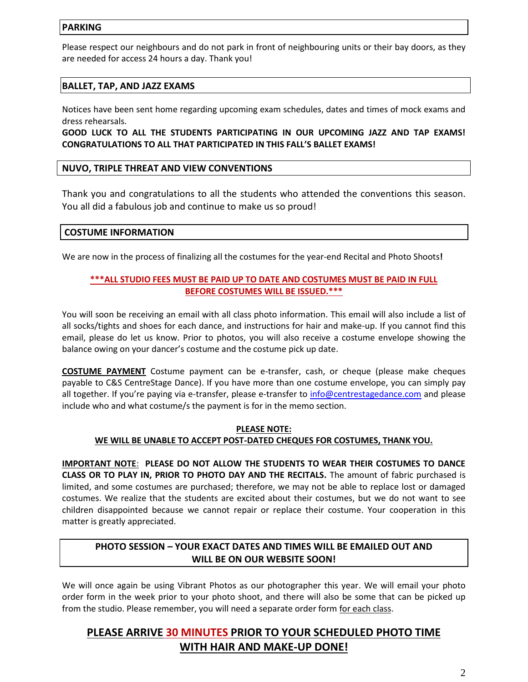### **PARKING**

Please respect our neighbours and do not park in front of neighbouring units or their bay doors, as they are needed for access 24 hours a day. Thank you!

# **BALLET, TAP, AND JAZZ EXAMS**

Notices have been sent home regarding upcoming exam schedules, dates and times of mock exams and dress rehearsals.

**GOOD LUCK TO ALL THE STUDENTS PARTICIPATING IN OUR UPCOMING JAZZ AND TAP EXAMS! CONGRATULATIONS TO ALL THAT PARTICIPATED IN THIS FALL'S BALLET EXAMS!**

#### **NUVO, TRIPLE THREAT AND VIEW CONVENTIONS**

Thank you and congratulations to all the students who attended the conventions this season. You all did a fabulous job and continue to make us so proud!

# **COSTUME INFORMATION**

We are now in the process of finalizing all the costumes for the year-end Recital and Photo Shoots**!**

# **\*\*\*ALL STUDIO FEES MUST BE PAID UP TO DATE AND COSTUMES MUST BE PAID IN FULL BEFORE COSTUMES WILL BE ISSUED.\*\*\***

You will soon be receiving an email with all class photo information. This email will also include a list of all socks/tights and shoes for each dance, and instructions for hair and make-up. If you cannot find this email, please do let us know. Prior to photos, you will also receive a costume envelope showing the balance owing on your dancer's costume and the costume pick up date.

**COSTUME PAYMENT** Costume payment can be e-transfer, cash, or cheque (please make cheques payable to C&S CentreStage Dance). If you have more than one costume envelope, you can simply pay all together. If you're paying via e-transfer, please e-transfer to [info@centrestagedance.com](mailto:info@centrestagedance.com) and please include who and what costume/s the payment is for in the memo section.

#### **PLEASE NOTE: WE WILL BE UNABLE TO ACCEPT POST-DATED CHEQUES FOR COSTUMES, THANK YOU.**

**IMPORTANT NOTE**: **PLEASE DO NOT ALLOW THE STUDENTS TO WEAR THEIR COSTUMES TO DANCE CLASS OR TO PLAY IN, PRIOR TO PHOTO DAY AND THE RECITALS.** The amount of fabric purchased is limited, and some costumes are purchased; therefore, we may not be able to replace lost or damaged costumes. We realize that the students are excited about their costumes, but we do not want to see children disappointed because we cannot repair or replace their costume. Your cooperation in this matter is greatly appreciated.

# **PHOTO SESSION – YOUR EXACT DATES AND TIMES WILL BE EMAILED OUT AND WILL BE ON OUR WEBSITE SOON!**

We will once again be using Vibrant Photos as our photographer this year. We will email your photo order form in the week prior to your photo shoot, and there will also be some that can be picked up from the studio. Please remember, you will need a separate order form for each class.

# **PLEASE ARRIVE 30 MINUTES PRIOR TO YOUR SCHEDULED PHOTO TIME WITH HAIR AND MAKE-UP DONE!**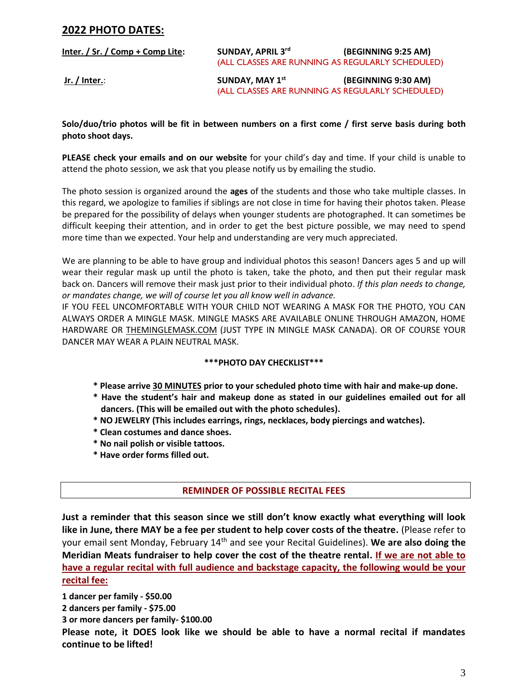# **2022 PHOTO DATES:**

| Inter. / Sr. / Comp + Comp Lite: | <b>SUNDAY, APRIL 3rd</b>                         | (BEGINNING 9:25 AM) |
|----------------------------------|--------------------------------------------------|---------------------|
|                                  | (ALL CLASSES ARE RUNNING AS REGULARLY SCHEDULED) |                     |
| Jr. / Inter.:                    | <b>SUNDAY, MAY 1st</b>                           | (BEGINNING 9:30 AM) |
|                                  | (ALL CLASSES ARE RUNNING AS REGULARLY SCHEDULED) |                     |

**Solo/duo/trio photos will be fit in between numbers on a first come / first serve basis during both photo shoot days.** 

**PLEASE check your emails and on our website** for your child's day and time. If your child is unable to attend the photo session, we ask that you please notify us by emailing the studio.

The photo session is organized around the **ages** of the students and those who take multiple classes. In this regard, we apologize to families if siblings are not close in time for having their photos taken. Please be prepared for the possibility of delays when younger students are photographed. It can sometimes be difficult keeping their attention, and in order to get the best picture possible, we may need to spend more time than we expected. Your help and understanding are very much appreciated.

We are planning to be able to have group and individual photos this season! Dancers ages 5 and up will wear their regular mask up until the photo is taken, take the photo, and then put their regular mask back on. Dancers will remove their mask just prior to their individual photo. *If this plan needs to change, or mandates change, we will of course let you all know well in advance.*

IF YOU FEEL UNCOMFORTABLE WITH YOUR CHILD NOT WEARING A MASK FOR THE PHOTO, YOU CAN ALWAYS ORDER A MINGLE MASK. MINGLE MASKS ARE AVAILABLE ONLINE THROUGH AMAZON, HOME HARDWARE OR THEMINGLEMASK.COM (JUST TYPE IN MINGLE MASK CANADA). OR OF COURSE YOUR DANCER MAY WEAR A PLAIN NEUTRAL MASK.

#### **\*\*\*PHOTO DAY CHECKLIST\*\*\***

- **\* Please arrive 30 MINUTES prior to your scheduled photo time with hair and make-up done.**
- **\* Have the student's hair and makeup done as stated in our guidelines emailed out for all dancers. (This will be emailed out with the photo schedules).**
- **\* NO JEWELRY (This includes earrings, rings, necklaces, body piercings and watches).**
- **\* Clean costumes and dance shoes.**
- **\* No nail polish or visible tattoos.**
- **\* Have order forms filled out.**

# **REMINDER OF POSSIBLE RECITAL FEES**

**Just a reminder that this season since we still don't know exactly what everything will look like in June, there MAY be a fee per student to help cover costs of the theatre.** (Please refer to your email sent Monday, February 14th and see your Recital Guidelines). **We are also doing the Meridian Meats fundraiser to help cover the cost of the theatre rental. If we are not able to have a regular recital with full audience and backstage capacity, the following would be your recital fee:**

**1 dancer per family - \$50.00 2 dancers per family - \$75.00 3 or more dancers per family- \$100.00 Please note, it DOES look like we should be able to have a normal recital if mandates continue to be lifted!**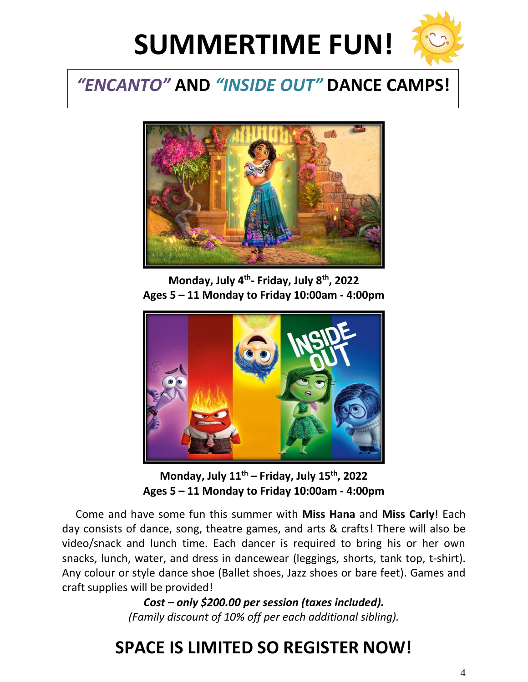

# *"ENCANTO"* **AND** *"INSIDE OUT"* **DANCE CAMPS!**



**Monday, July 4 th - Friday, July 8 th , 2022 Ages 5 – 11 Monday to Friday 10:00am - 4:00pm**



**Monday, July 11 th – Friday, July 15 th , 2022 Ages 5 – 11 Monday to Friday 10:00am - 4:00pm**

 Come and have some fun this summer with **Miss Hana** and **Miss Carly**! Each day consists of dance, song, theatre games, and arts & crafts! There will also be video/snack and lunch time. Each dancer is required to bring his or her own snacks, lunch, water, and dress in dancewear (leggings, shorts, tank top, t-shirt). Any colour or style dance shoe (Ballet shoes, Jazz shoes or bare feet). Games and craft supplies will be provided!

> *Cost – only \$200.00 per session (taxes included). (Family discount of 10% off per each additional sibling).*

# **SPACE IS LIMITED SO REGISTER NOW!**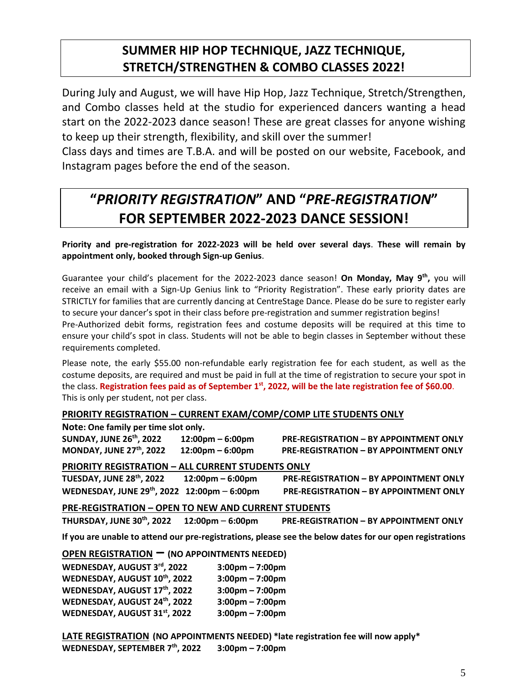# **SUMMER HIP HOP TECHNIQUE, JAZZ TECHNIQUE, STRETCH/STRENGTHEN & COMBO CLASSES 2022!**

During July and August, we will have Hip Hop, Jazz Technique, Stretch/Strengthen, and Combo classes held at the studio for experienced dancers wanting a head start on the 2022-2023 dance season! These are great classes for anyone wishing to keep up their strength, flexibility, and skill over the summer!

Class days and times are T.B.A. and will be posted on our website, Facebook, and Instagram pages before the end of the season.

# **"***PRIORITY REGISTRATION***" AND "***PRE-REGISTRATION***" FOR SEPTEMBER 2022-2023 DANCE SESSION!**

**Priority and pre-registration for 2022-2023 will be held over several days**. **These will remain by appointment only, booked through Sign-up Genius**.

Guarantee your child's placement for the 2022-2023 dance season! **On Monday, May 9 th ,** you will receive an email with a Sign-Up Genius link to "Priority Registration". These early priority dates are STRICTLY for families that are currently dancing at CentreStage Dance. Please do be sure to register early to secure your dancer's spot in their class before pre-registration and summer registration begins! Pre-Authorized debit forms, registration fees and costume deposits will be required at this time to ensure your child's spot in class. Students will not be able to begin classes in September without these requirements completed.

Please note, the early \$55.00 non-refundable early registration fee for each student, as well as the costume deposits, are required and must be paid in full at the time of registration to secure your spot in the class. **Registration fees paid as of September 1st, 2022, will be the late registration fee of \$60.00**. This is only per student, not per class.

# **PRIORITY REGISTRATION – CURRENT EXAM/COMP/COMP LITE STUDENTS ONLY**

**Note: One family per time slot only.**

**SUNDAY, JUNE 26 MONDAY, JUNE 27**

**th, 2022 12:00pm – 6:00pm PRE-REGISTRATION – BY APPOINTMENT ONLY th, 2022 12:00pm – 6:00pm PRE-REGISTRATION – BY APPOINTMENT ONLY**

# **PRIORITY REGISTRATION – ALL CURRENT STUDENTS ONLY**

**TUESDAY, JUNE 28th , 2022 12:00pm – 6:00pm PRE-REGISTRATION – BY APPOINTMENT ONLY WEDNESDAY, JUNE 29**

**th, 2022 12:00pm** – **6:00pm PRE-REGISTRATION – BY APPOINTMENT ONLY**

# **PRE-REGISTRATION – OPEN TO NEW AND CURRENT STUDENTS**

**THURSDAY, JUNE 30th, 2022 12:00pm** – **6:00pm PRE-REGISTRATION – BY APPOINTMENT ONLY**

**If you are unable to attend our pre-registrations, please see the below dates for our open registrations** 

# **OPEN REGISTRATION – (NO APPOINTMENTS NEEDED)**

| WEDNESDAY, AUGUST 3rd, 2022  | $3:00 \text{pm} - 7:00 \text{pm}$ |
|------------------------------|-----------------------------------|
| WEDNESDAY, AUGUST 10th, 2022 | $3:00 \text{pm} - 7:00 \text{pm}$ |
| WEDNESDAY, AUGUST 17th, 2022 | $3:00 \text{pm} - 7:00 \text{pm}$ |
| WEDNESDAY, AUGUST 24th, 2022 | $3:00 \text{pm} - 7:00 \text{pm}$ |
| WEDNESDAY, AUGUST 31st, 2022 | $3:00 \text{pm} - 7:00 \text{pm}$ |

**LATE REGISTRATION (NO APPOINTMENTS NEEDED) \*late registration fee will now apply\* WEDNESDAY, SEPTEMBER 7 th , 2022 3:00pm – 7:00pm**